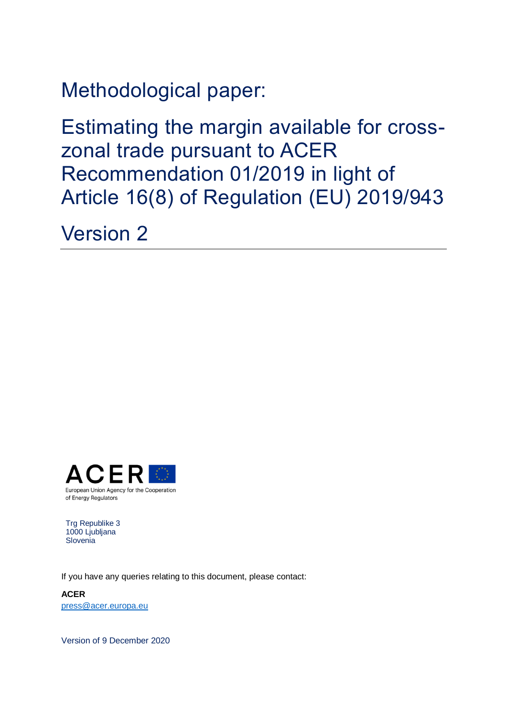Methodological paper:

Estimating the margin available for crosszonal trade pursuant to ACER Recommendation 01/2019 in light of Article 16(8) of Regulation (EU) 2019/943

Version 2



Trg Republike 3 1000 Ljubljana **Slovenia** 

If you have any queries relating to this document, please contact:

**ACER** [press@acer.europa.eu](mailto:press@acer.europa.eu)

Version of 9 December 2020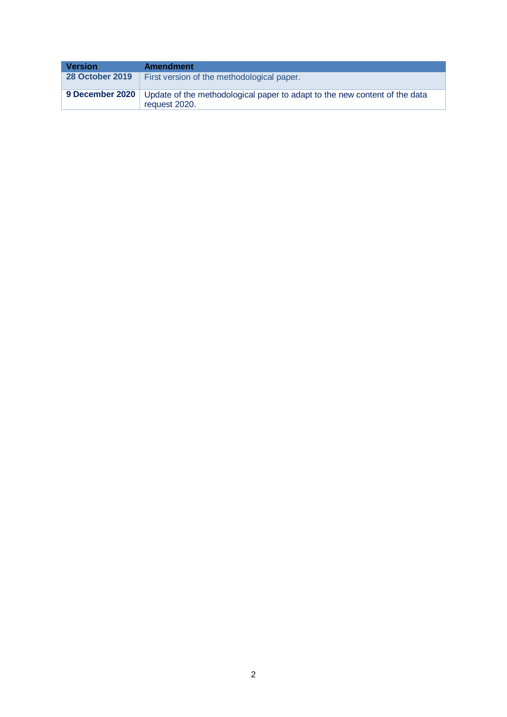| Version                | <b>Amendment</b>                                                                                              |
|------------------------|---------------------------------------------------------------------------------------------------------------|
| <b>28 October 2019</b> | First version of the methodological paper.                                                                    |
|                        | 9 December 2020   Update of the methodological paper to adapt to the new content of the data<br>request 2020. |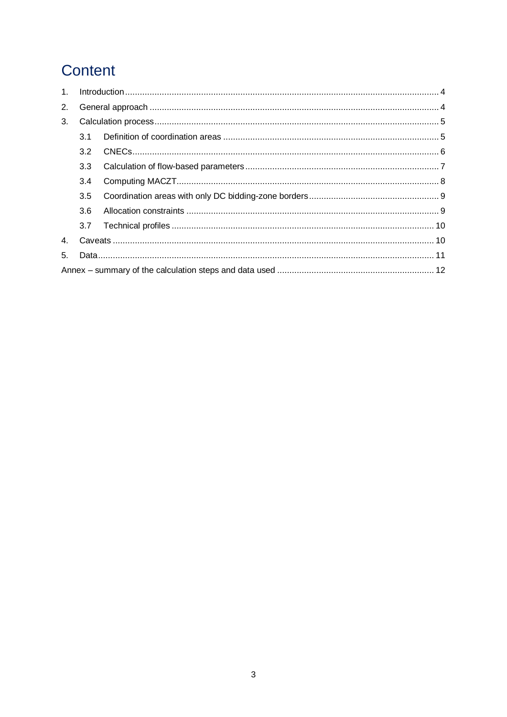# Content

| 1 <sub>1</sub> |               |  |  |  |  |  |
|----------------|---------------|--|--|--|--|--|
| 2.             |               |  |  |  |  |  |
| 3.             |               |  |  |  |  |  |
|                | 3.1           |  |  |  |  |  |
|                | 3.2           |  |  |  |  |  |
|                | 3.3           |  |  |  |  |  |
|                | $3.4^{\circ}$ |  |  |  |  |  |
|                | 3.5           |  |  |  |  |  |
|                | 3.6           |  |  |  |  |  |
|                | 3.7           |  |  |  |  |  |
| 4 <sup>1</sup> |               |  |  |  |  |  |
| 5.             |               |  |  |  |  |  |
|                |               |  |  |  |  |  |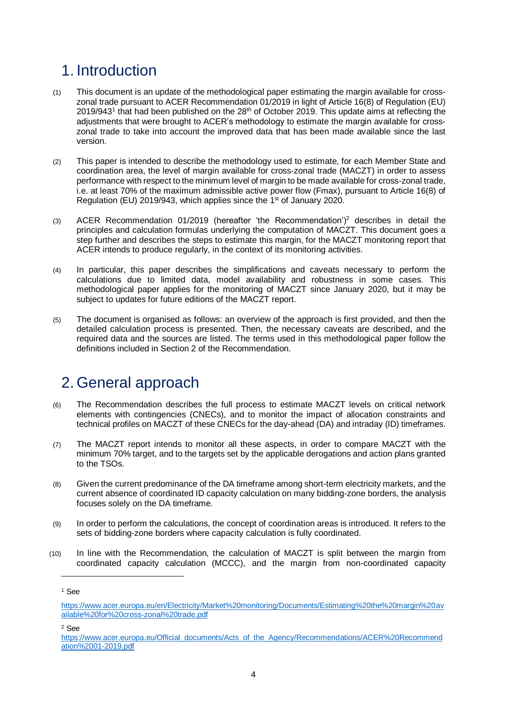## <span id="page-3-0"></span>1. Introduction

- (1) This document is an update of the methodological paper estimating the margin available for crosszonal trade pursuant to ACER Recommendation 01/2019 in light of Article 16(8) of Regulation (EU) 2019/943<sup>1</sup> that had been published on the 28<sup>th</sup> of October 2019. This update aims at reflecting the adjustments that were brought to ACER's methodology to estimate the margin available for crosszonal trade to take into account the improved data that has been made available since the last version.
- (2) This paper is intended to describe the methodology used to estimate, for each Member State and coordination area, the level of margin available for cross-zonal trade (MACZT) in order to assess performance with respect to the minimum level of margin to be made available for cross-zonal trade, i.e. at least 70% of the maximum admissible active power flow (Fmax), pursuant to Article 16(8) of Regulation (EU) 2019/943, which applies since the 1<sup>st</sup> of January 2020.
- (3) ACER Recommendation 01/2019 (hereafter 'the Recommendation')<sup>2</sup> describes in detail the principles and calculation formulas underlying the computation of MACZT. This document goes a step further and describes the steps to estimate this margin, for the MACZT monitoring report that ACER intends to produce regularly, in the context of its monitoring activities.
- (4) In particular, this paper describes the simplifications and caveats necessary to perform the calculations due to limited data, model availability and robustness in some cases. This methodological paper applies for the monitoring of MACZT since January 2020, but it may be subject to updates for future editions of the MACZT report.
- (5) The document is organised as follows: an overview of the approach is first provided, and then the detailed calculation process is presented. Then, the necessary caveats are described, and the required data and the sources are listed. The terms used in this methodological paper follow the definitions included in Section 2 of the Recommendation.

## <span id="page-3-1"></span>2. General approach

- (6) The Recommendation describes the full process to estimate MACZT levels on critical network elements with contingencies (CNECs), and to monitor the impact of allocation constraints and technical profiles on MACZT of these CNECs for the day-ahead (DA) and intraday (ID) timeframes.
- (7) The MACZT report intends to monitor all these aspects, in order to compare MACZT with the minimum 70% target, and to the targets set by the applicable derogations and action plans granted to the TSOs.
- (8) Given the current predominance of the DA timeframe among short-term electricity markets, and the current absence of coordinated ID capacity calculation on many bidding-zone borders, the analysis focuses solely on the DA timeframe.
- (9) In order to perform the calculations, the concept of coordination areas is introduced. It refers to the sets of bidding-zone borders where capacity calculation is fully coordinated.
- (10) In line with the Recommendation, the calculation of MACZT is split between the margin from coordinated capacity calculation (MCCC), and the margin from non-coordinated capacity

-

<sup>2</sup> See

<sup>1</sup> See

[https://www.acer.europa.eu/en/Electricity/Market%20monitoring/Documents/Estimating%20the%20margin%20av](https://www.acer.europa.eu/en/Electricity/Market%20monitoring/Documents/Estimating%20the%20margin%20available%20for%20cross-zonal%20trade.pdf) [ailable%20for%20cross-zonal%20trade.pdf](https://www.acer.europa.eu/en/Electricity/Market%20monitoring/Documents/Estimating%20the%20margin%20available%20for%20cross-zonal%20trade.pdf)

[https://www.acer.europa.eu/Official\\_documents/Acts\\_of\\_the\\_Agency/Recommendations/ACER%20Recommend](https://www.acer.europa.eu/Official_documents/Acts_of_the_Agency/Recommendations/ACER%20Recommendation%2001-2019.pdf) [ation%2001-2019.pdf](https://www.acer.europa.eu/Official_documents/Acts_of_the_Agency/Recommendations/ACER%20Recommendation%2001-2019.pdf)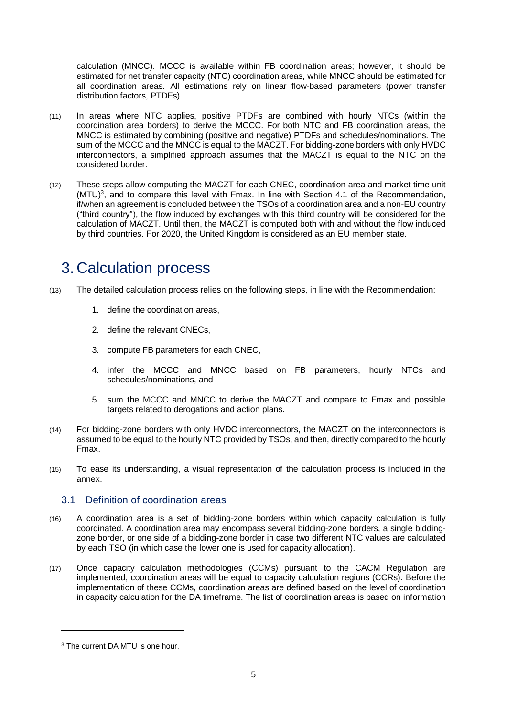calculation (MNCC). MCCC is available within FB coordination areas; however, it should be estimated for net transfer capacity (NTC) coordination areas, while MNCC should be estimated for all coordination areas. All estimations rely on linear flow-based parameters (power transfer distribution factors, PTDFs).

- (11) In areas where NTC applies, positive PTDFs are combined with hourly NTCs (within the coordination area borders) to derive the MCCC. For both NTC and FB coordination areas, the MNCC is estimated by combining (positive and negative) PTDFs and schedules/nominations. The sum of the MCCC and the MNCC is equal to the MACZT. For bidding-zone borders with only HVDC interconnectors, a simplified approach assumes that the MACZT is equal to the NTC on the considered border.
- (12) These steps allow computing the MACZT for each CNEC, coordination area and market time unit (MTU) 3 , and to compare this level with Fmax. In line with Section 4.1 of the Recommendation, if/when an agreement is concluded between the TSOs of a coordination area and a non-EU country ("third country"), the flow induced by exchanges with this third country will be considered for the calculation of MACZT. Until then, the MACZT is computed both with and without the flow induced by third countries. For 2020, the United Kingdom is considered as an EU member state.

## <span id="page-4-0"></span>3. Calculation process

- (13) The detailed calculation process relies on the following steps, in line with the Recommendation:
	- 1. define the coordination areas,
	- 2. define the relevant CNECs,
	- 3. compute FB parameters for each CNEC,
	- 4. infer the MCCC and MNCC based on FB parameters, hourly NTCs and schedules/nominations, and
	- 5. sum the MCCC and MNCC to derive the MACZT and compare to Fmax and possible targets related to derogations and action plans.
- (14) For bidding-zone borders with only HVDC interconnectors, the MACZT on the interconnectors is assumed to be equal to the hourly NTC provided by TSOs, and then, directly compared to the hourly Fmax.
- (15) To ease its understanding, a visual representation of the calculation process is included in the annex.

### <span id="page-4-1"></span>3.1 Definition of coordination areas

- (16) A coordination area is a set of bidding-zone borders within which capacity calculation is fully coordinated. A coordination area may encompass several bidding-zone borders, a single biddingzone border, or one side of a bidding-zone border in case two different NTC values are calculated by each TSO (in which case the lower one is used for capacity allocation).
- (17) Once capacity calculation methodologies (CCMs) pursuant to the CACM Regulation are implemented, coordination areas will be equal to capacity calculation regions (CCRs). Before the implementation of these CCMs, coordination areas are defined based on the level of coordination in capacity calculation for the DA timeframe. The list of coordination areas is based on information

<sup>3</sup> The current DA MTU is one hour.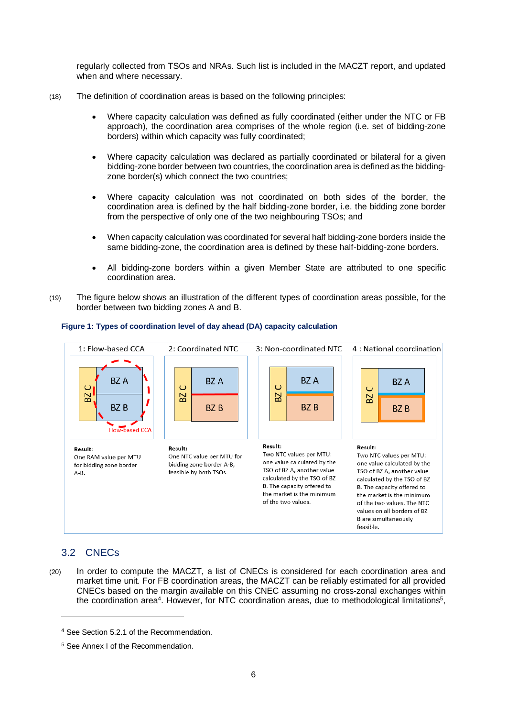regularly collected from TSOs and NRAs. Such list is included in the MACZT report, and updated when and where necessary.

- (18) The definition of coordination areas is based on the following principles:
	- Where capacity calculation was defined as fully coordinated (either under the NTC or FB approach), the coordination area comprises of the whole region (i.e. set of bidding-zone borders) within which capacity was fully coordinated;
	- Where capacity calculation was declared as partially coordinated or bilateral for a given bidding-zone border between two countries, the coordination area is defined as the biddingzone border(s) which connect the two countries;
	- Where capacity calculation was not coordinated on both sides of the border, the coordination area is defined by the half bidding-zone border, i.e. the bidding zone border from the perspective of only one of the two neighbouring TSOs; and
	- When capacity calculation was coordinated for several half bidding-zone borders inside the same bidding-zone, the coordination area is defined by these half-bidding-zone borders.
	- All bidding-zone borders within a given Member State are attributed to one specific coordination area.
- (19) The figure below shows an illustration of the different types of coordination areas possible, for the border between two bidding zones A and B.



#### **Figure 1: Types of coordination level of day ahead (DA) capacity calculation**

### <span id="page-5-0"></span>3.2 CNECs

-

(20) In order to compute the MACZT, a list of CNECs is considered for each coordination area and market time unit. For FB coordination areas, the MACZT can be reliably estimated for all provided CNECs based on the margin available on this CNEC assuming no cross-zonal exchanges within the coordination area<sup>4</sup>. However, for NTC coordination areas, due to methodological limitations<sup>5</sup>,

<sup>4</sup> See Section 5.2.1 of the Recommendation.

<sup>5</sup> See Annex I of the Recommendation.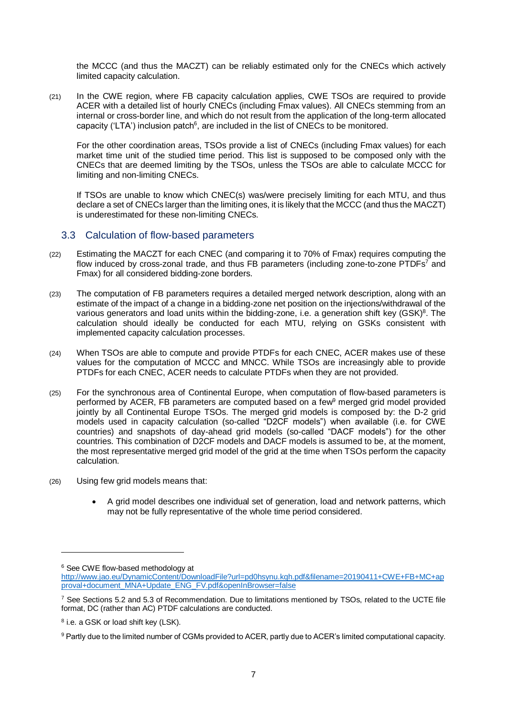the MCCC (and thus the MACZT) can be reliably estimated only for the CNECs which actively limited capacity calculation.

(21) In the CWE region, where FB capacity calculation applies, CWE TSOs are required to provide ACER with a detailed list of hourly CNECs (including Fmax values). All CNECs stemming from an internal or cross-border line, and which do not result from the application of the long-term allocated capacity ('LTA') inclusion patch $6$ , are included in the list of CNECs to be monitored.

For the other coordination areas, TSOs provide a list of CNECs (including Fmax values) for each market time unit of the studied time period. This list is supposed to be composed only with the CNECs that are deemed limiting by the TSOs, unless the TSOs are able to calculate MCCC for limiting and non-limiting CNECs.

If TSOs are unable to know which CNEC(s) was/were precisely limiting for each MTU, and thus declare a set of CNECs larger than the limiting ones, it is likely that the MCCC (and thus the MACZT) is underestimated for these non-limiting CNECs.

#### <span id="page-6-0"></span>3.3 Calculation of flow-based parameters

- (22) Estimating the MACZT for each CNEC (and comparing it to 70% of Fmax) requires computing the flow induced by cross-zonal trade, and thus FB parameters (including zone-to-zone PTDFs<sup>7</sup> and Fmax) for all considered bidding-zone borders.
- (23) The computation of FB parameters requires a detailed merged network description, along with an estimate of the impact of a change in a bidding-zone net position on the injections/withdrawal of the various generators and load units within the bidding-zone, i.e. a generation shift key (GSK)<sup>8</sup>. The calculation should ideally be conducted for each MTU, relying on GSKs consistent with implemented capacity calculation processes.
- (24) When TSOs are able to compute and provide PTDFs for each CNEC, ACER makes use of these values for the computation of MCCC and MNCC. While TSOs are increasingly able to provide PTDFs for each CNEC, ACER needs to calculate PTDFs when they are not provided.
- (25) For the synchronous area of Continental Europe, when computation of flow-based parameters is performed by ACER, FB parameters are computed based on a few<sup>9</sup> merged grid model provided jointly by all Continental Europe TSOs. The merged grid models is composed by: the D-2 grid models used in capacity calculation (so-called "D2CF models") when available (i.e. for CWE countries) and snapshots of day-ahead grid models (so-called "DACF models") for the other countries. This combination of D2CF models and DACF models is assumed to be, at the moment, the most representative merged grid model of the grid at the time when TSOs perform the capacity calculation.
- (26) Using few grid models means that:
	- A grid model describes one individual set of generation, load and network patterns, which may not be fully representative of the whole time period considered.

<sup>6</sup> See CWE flow-based methodology at

[http://www.jao.eu/DynamicContent/DownloadFile?url=pd0hsynu.kqh.pdf&filename=20190411+CWE+FB+MC+ap](http://www.jao.eu/DynamicContent/DownloadFile?url=pd0hsynu.kqh.pdf&filename=20190411+CWE+FB+MC+approval+document_MNA+Update_ENG_FV.pdf&openInBrowser=false) [proval+document\\_MNA+Update\\_ENG\\_FV.pdf&openInBrowser=false](http://www.jao.eu/DynamicContent/DownloadFile?url=pd0hsynu.kqh.pdf&filename=20190411+CWE+FB+MC+approval+document_MNA+Update_ENG_FV.pdf&openInBrowser=false)

<sup>7</sup> See Sections 5.2 and 5.3 of Recommendation. Due to limitations mentioned by TSOs, related to the UCTE file format, DC (rather than AC) PTDF calculations are conducted.

<sup>&</sup>lt;sup>8</sup> i.e. a GSK or load shift key (LSK).

<sup>9</sup> Partly due to the limited number of CGMs provided to ACER, partly due to ACER's limited computational capacity.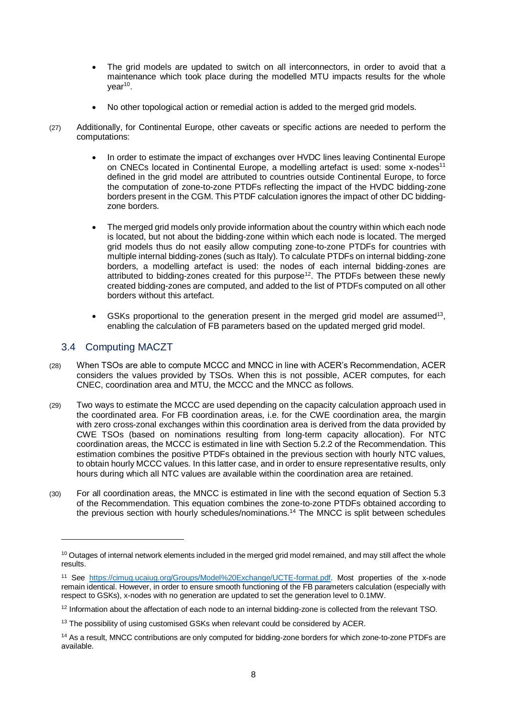- The grid models are updated to switch on all interconnectors, in order to avoid that a maintenance which took place during the modelled MTU impacts results for the whole year<sup>10</sup>.
- No other topological action or remedial action is added to the merged grid models.
- (27) Additionally, for Continental Europe, other caveats or specific actions are needed to perform the computations:
	- In order to estimate the impact of exchanges over HVDC lines leaving Continental Europe on CNECs located in Continental Europe, a modelling artefact is used: some x-nodes<sup>11</sup> defined in the grid model are attributed to countries outside Continental Europe, to force the computation of zone-to-zone PTDFs reflecting the impact of the HVDC bidding-zone borders present in the CGM. This PTDF calculation ignores the impact of other DC biddingzone borders.
	- The merged grid models only provide information about the country within which each node is located, but not about the bidding-zone within which each node is located. The merged grid models thus do not easily allow computing zone-to-zone PTDFs for countries with multiple internal bidding-zones (such as Italy). To calculate PTDFs on internal bidding-zone borders, a modelling artefact is used: the nodes of each internal bidding-zones are attributed to bidding-zones created for this purpose<sup>12</sup>. The PTDFs between these newly created bidding-zones are computed, and added to the list of PTDFs computed on all other borders without this artefact.
	- $\bullet$  GSKs proportional to the generation present in the merged grid model are assumed<sup>13</sup>, enabling the calculation of FB parameters based on the updated merged grid model.

### <span id="page-7-0"></span>3.4 Computing MACZT

- (28) When TSOs are able to compute MCCC and MNCC in line with ACER's Recommendation, ACER considers the values provided by TSOs. When this is not possible, ACER computes, for each CNEC, coordination area and MTU, the MCCC and the MNCC as follows.
- (29) Two ways to estimate the MCCC are used depending on the capacity calculation approach used in the coordinated area. For FB coordination areas, i.e. for the CWE coordination area, the margin with zero cross-zonal exchanges within this coordination area is derived from the data provided by CWE TSOs (based on nominations resulting from long-term capacity allocation). For NTC coordination areas, the MCCC is estimated in line with Section 5.2.2 of the Recommendation. This estimation combines the positive PTDFs obtained in the previous section with hourly NTC values, to obtain hourly MCCC values. In this latter case, and in order to ensure representative results, only hours during which all NTC values are available within the coordination area are retained.
- (30) For all coordination areas, the MNCC is estimated in line with the second equation of Section 5.3 of the Recommendation. This equation combines the zone-to-zone PTDFs obtained according to the previous section with hourly schedules/nominations. <sup>14</sup> The MNCC is split between schedules

 $10$  Outages of internal network elements included in the merged grid model remained, and may still affect the whole results.

<sup>11</sup> See [https://cimug.ucaiug.org/Groups/Model%20Exchange/UCTE-format.pdf.](https://cimug.ucaiug.org/Groups/Model%20Exchange/UCTE-format.pdf) Most properties of the x-node remain identical. However, in order to ensure smooth functioning of the FB parameters calculation (especially with respect to GSKs), x-nodes with no generation are updated to set the generation level to 0.1MW.

<sup>&</sup>lt;sup>12</sup> Information about the affectation of each node to an internal bidding-zone is collected from the relevant TSO.

<sup>&</sup>lt;sup>13</sup> The possibility of using customised GSKs when relevant could be considered by ACER.

<sup>14</sup> As a result, MNCC contributions are only computed for bidding-zone borders for which zone-to-zone PTDFs are available.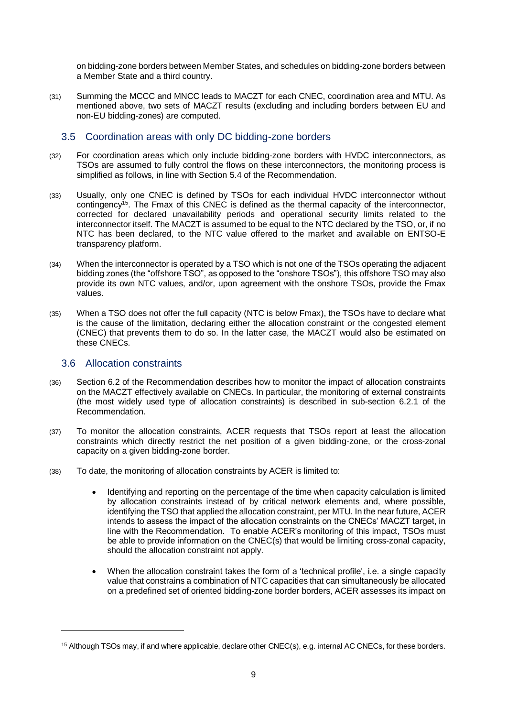on bidding-zone borders between Member States, and schedules on bidding-zone borders between a Member State and a third country.

(31) Summing the MCCC and MNCC leads to MACZT for each CNEC, coordination area and MTU. As mentioned above, two sets of MACZT results (excluding and including borders between EU and non-EU bidding-zones) are computed.

### <span id="page-8-0"></span>3.5 Coordination areas with only DC bidding-zone borders

- (32) For coordination areas which only include bidding-zone borders with HVDC interconnectors, as TSOs are assumed to fully control the flows on these interconnectors, the monitoring process is simplified as follows, in line with Section 5.4 of the Recommendation.
- (33) Usually, only one CNEC is defined by TSOs for each individual HVDC interconnector without contingency<sup>15</sup>. The Fmax of this CNEC is defined as the thermal capacity of the interconnector, corrected for declared unavailability periods and operational security limits related to the interconnector itself. The MACZT is assumed to be equal to the NTC declared by the TSO, or, if no NTC has been declared, to the NTC value offered to the market and available on ENTSO-E transparency platform.
- (34) When the interconnector is operated by a TSO which is not one of the TSOs operating the adjacent bidding zones (the "offshore TSO", as opposed to the "onshore TSOs"), this offshore TSO may also provide its own NTC values, and/or, upon agreement with the onshore TSOs, provide the Fmax values.
- (35) When a TSO does not offer the full capacity (NTC is below Fmax), the TSOs have to declare what is the cause of the limitation, declaring either the allocation constraint or the congested element (CNEC) that prevents them to do so. In the latter case, the MACZT would also be estimated on these CNECs.

#### <span id="page-8-1"></span>3.6 Allocation constraints

- (36) Section 6.2 of the Recommendation describes how to monitor the impact of allocation constraints on the MACZT effectively available on CNECs. In particular, the monitoring of external constraints (the most widely used type of allocation constraints) is described in sub-section 6.2.1 of the Recommendation.
- (37) To monitor the allocation constraints, ACER requests that TSOs report at least the allocation constraints which directly restrict the net position of a given bidding-zone, or the cross-zonal capacity on a given bidding-zone border.
- (38) To date, the monitoring of allocation constraints by ACER is limited to:
	- Identifying and reporting on the percentage of the time when capacity calculation is limited by allocation constraints instead of by critical network elements and, where possible, identifying the TSO that applied the allocation constraint, per MTU. In the near future, ACER intends to assess the impact of the allocation constraints on the CNECs' MACZT target, in line with the Recommendation. To enable ACER's monitoring of this impact, TSOs must be able to provide information on the CNEC(s) that would be limiting cross-zonal capacity, should the allocation constraint not apply.
	- When the allocation constraint takes the form of a 'technical profile', i.e. a single capacity value that constrains a combination of NTC capacities that can simultaneously be allocated on a predefined set of oriented bidding-zone border borders, ACER assesses its impact on

<sup>&</sup>lt;sup>15</sup> Although TSOs may, if and where applicable, declare other CNEC(s), e.g. internal AC CNECs, for these borders.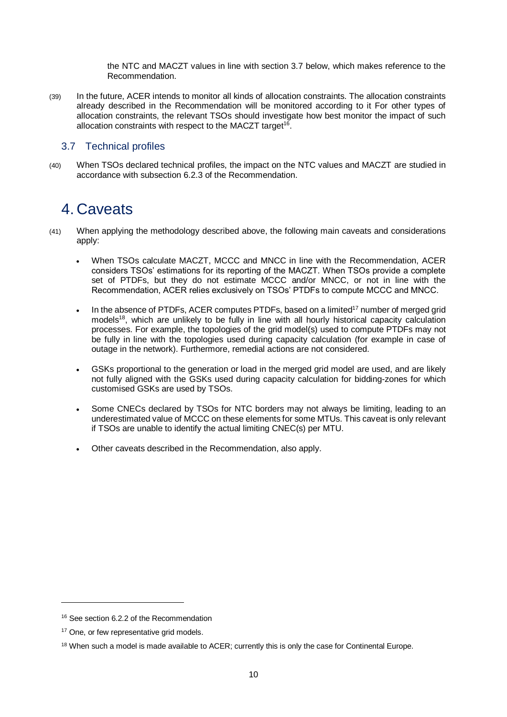the NTC and MACZT values in line with section 3.7 below, which makes reference to the Recommendation.

(39) In the future, ACER intends to monitor all kinds of allocation constraints. The allocation constraints already described in the Recommendation will be monitored according to it For other types of allocation constraints, the relevant TSOs should investigate how best monitor the impact of such allocation constraints with respect to the MACZT target<sup>16</sup>.

### <span id="page-9-0"></span>3.7 Technical profiles

(40) When TSOs declared technical profiles, the impact on the NTC values and MACZT are studied in accordance with subsection 6.2.3 of the Recommendation.

### <span id="page-9-1"></span>4. Caveats

- (41) When applying the methodology described above, the following main caveats and considerations apply:
	- When TSOs calculate MACZT, MCCC and MNCC in line with the Recommendation, ACER considers TSOs' estimations for its reporting of the MACZT. When TSOs provide a complete set of PTDFs, but they do not estimate MCCC and/or MNCC, or not in line with the Recommendation, ACER relies exclusively on TSOs' PTDFs to compute MCCC and MNCC.
	- . In the absence of PTDFs, ACER computes PTDFs, based on a limited<sup>17</sup> number of merged grid models<sup>18</sup>, which are unlikely to be fully in line with all hourly historical capacity calculation processes. For example, the topologies of the grid model(s) used to compute PTDFs may not be fully in line with the topologies used during capacity calculation (for example in case of outage in the network). Furthermore, remedial actions are not considered.
	- GSKs proportional to the generation or load in the merged grid model are used, and are likely not fully aligned with the GSKs used during capacity calculation for bidding-zones for which customised GSKs are used by TSOs.
	- Some CNECs declared by TSOs for NTC borders may not always be limiting, leading to an underestimated value of MCCC on these elements for some MTUs. This caveat is only relevant if TSOs are unable to identify the actual limiting CNEC(s) per MTU.
	- Other caveats described in the Recommendation, also apply.

<sup>&</sup>lt;sup>16</sup> See section 6.2.2 of the Recommendation

<sup>&</sup>lt;sup>17</sup> One, or few representative grid models.

<sup>&</sup>lt;sup>18</sup> When such a model is made available to ACER; currently this is only the case for Continental Europe.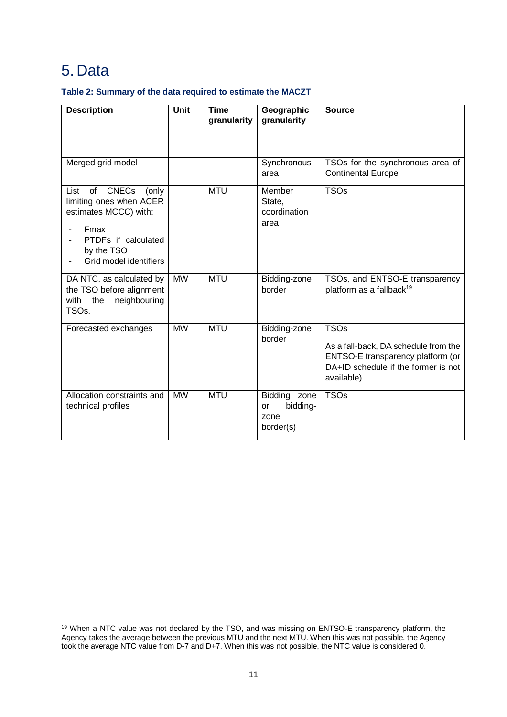## <span id="page-10-0"></span>5. Data

-

### **Table 2: Summary of the data required to estimate the MACZT**

| <b>Description</b>                                                                                                                                                    | <b>Unit</b> | <b>Time</b><br>granularity | Geographic<br>granularity                                  | <b>Source</b>                                                                                                                                 |  |  |  |  |
|-----------------------------------------------------------------------------------------------------------------------------------------------------------------------|-------------|----------------------------|------------------------------------------------------------|-----------------------------------------------------------------------------------------------------------------------------------------------|--|--|--|--|
| Merged grid model                                                                                                                                                     |             |                            | Synchronous<br>area                                        | TSOs for the synchronous area of<br><b>Continental Europe</b>                                                                                 |  |  |  |  |
| of<br><b>CNECs</b><br>List<br>(only<br>limiting ones when ACER<br>estimates MCCC) with:<br><b>Fmax</b><br>PTDFs if calculated<br>by the TSO<br>Grid model identifiers |             | <b>MTU</b>                 | Member<br>State,<br>coordination<br>area                   | <b>TSOs</b>                                                                                                                                   |  |  |  |  |
| DA NTC, as calculated by<br>the TSO before alignment<br>neighbouring<br>the<br>with<br>TSO <sub>s</sub> .                                                             | <b>MW</b>   | <b>MTU</b>                 | Bidding-zone<br>border                                     | TSOs, and ENTSO-E transparency<br>platform as a fallback <sup>19</sup>                                                                        |  |  |  |  |
| Forecasted exchanges                                                                                                                                                  | <b>MW</b>   | <b>MTU</b>                 | Bidding-zone<br>border                                     | <b>TSOs</b><br>As a fall-back, DA schedule from the<br>ENTSO-E transparency platform (or<br>DA+ID schedule if the former is not<br>available) |  |  |  |  |
| Allocation constraints and<br>technical profiles                                                                                                                      | <b>MW</b>   | <b>MTU</b>                 | Bidding zone<br>bidding-<br><b>or</b><br>zone<br>border(s) | <b>TSOs</b>                                                                                                                                   |  |  |  |  |

 $19$  When a NTC value was not declared by the TSO, and was missing on ENTSO-E transparency platform, the Agency takes the average between the previous MTU and the next MTU. When this was not possible, the Agency took the average NTC value from D-7 and D+7. When this was not possible, the NTC value is considered 0.